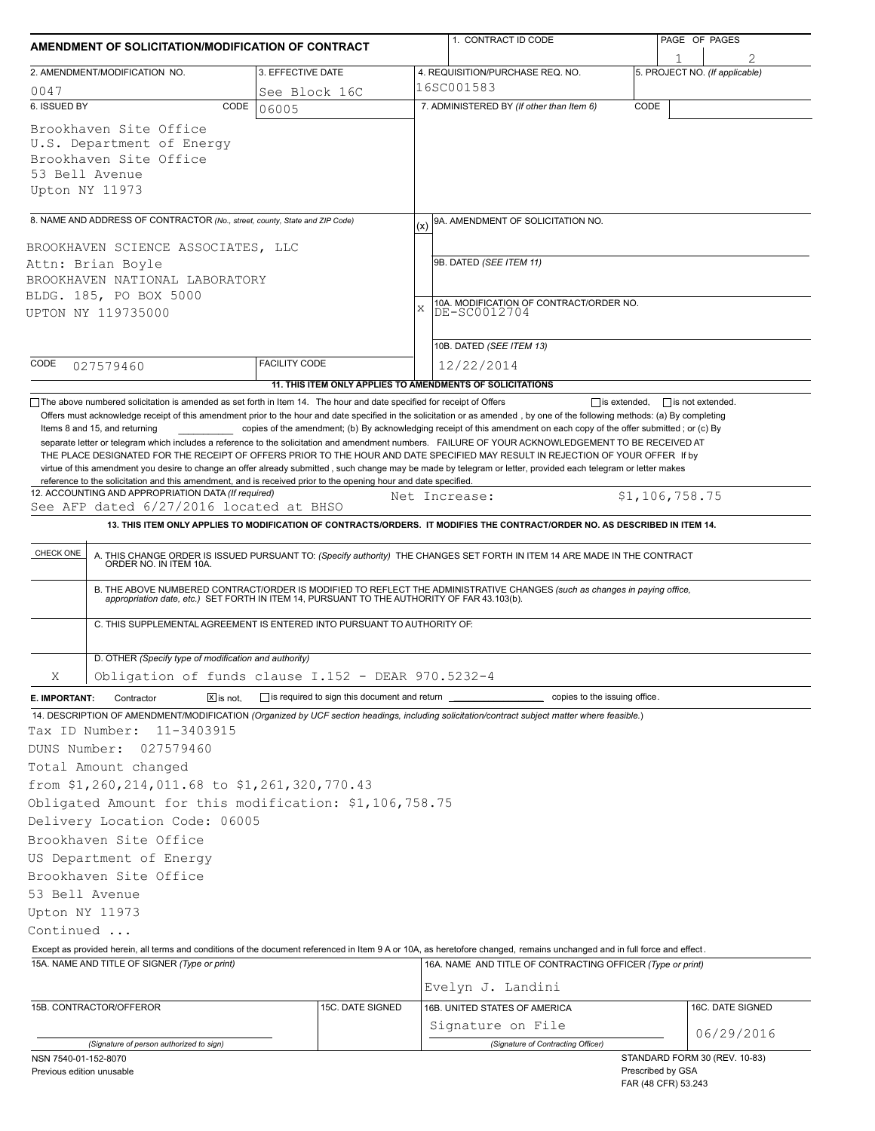| AMENDMENT OF SOLICITATION/MODIFICATION OF CONTRACT                                                                                                                                                                            |                                                | 1. CONTRACT ID CODE                                                                                                                                                                                                                                                                                                                                                                                                                                                                                | PAGE OF PAGES                                                             |
|-------------------------------------------------------------------------------------------------------------------------------------------------------------------------------------------------------------------------------|------------------------------------------------|----------------------------------------------------------------------------------------------------------------------------------------------------------------------------------------------------------------------------------------------------------------------------------------------------------------------------------------------------------------------------------------------------------------------------------------------------------------------------------------------------|---------------------------------------------------------------------------|
|                                                                                                                                                                                                                               |                                                |                                                                                                                                                                                                                                                                                                                                                                                                                                                                                                    | 1                                                                         |
| 2. AMENDMENT/MODIFICATION NO.                                                                                                                                                                                                 | 3. EFFECTIVE DATE                              | 4. REQUISITION/PURCHASE REQ. NO.<br>16SC001583                                                                                                                                                                                                                                                                                                                                                                                                                                                     | 5. PROJECT NO. (If applicable)                                            |
| 0047<br>6. ISSUED BY<br>CODE                                                                                                                                                                                                  | See Block 16C                                  | 7. ADMINISTERED BY (If other than Item 6)                                                                                                                                                                                                                                                                                                                                                                                                                                                          | CODE                                                                      |
| Brookhaven Site Office<br>U.S. Department of Energy<br>Brookhaven Site Office<br>53 Bell Avenue<br>Upton NY 11973                                                                                                             | 06005                                          |                                                                                                                                                                                                                                                                                                                                                                                                                                                                                                    |                                                                           |
| 8. NAME AND ADDRESS OF CONTRACTOR (No., street, county, State and ZIP Code)                                                                                                                                                   |                                                | 9A. AMENDMENT OF SOLICITATION NO.                                                                                                                                                                                                                                                                                                                                                                                                                                                                  |                                                                           |
| BROOKHAVEN SCIENCE ASSOCIATES, LLC<br>Attn: Brian Boyle<br>BROOKHAVEN NATIONAL LABORATORY<br>BLDG. 185, PO BOX 5000<br>UPTON NY 119735000                                                                                     |                                                | (x)<br>9B. DATED (SEE ITEM 11)<br>10A. MODIFICATION OF CONTRACT/ORDER NO.<br>X<br>DE-SC0012704<br>10B. DATED (SEE ITEM 13)                                                                                                                                                                                                                                                                                                                                                                         |                                                                           |
| CODE<br>027579460                                                                                                                                                                                                             | <b>FACILITY CODE</b>                           | 12/22/2014                                                                                                                                                                                                                                                                                                                                                                                                                                                                                         |                                                                           |
|                                                                                                                                                                                                                               |                                                | 11. THIS ITEM ONLY APPLIES TO AMENDMENTS OF SOLICITATIONS                                                                                                                                                                                                                                                                                                                                                                                                                                          |                                                                           |
| 12. ACCOUNTING AND APPROPRIATION DATA (If required)<br>See AFP dated 6/27/2016 located at BHSO<br>CHECK ONE<br>ORDER NO. IN ITEM 10A.                                                                                         |                                                | Net Increase:<br>13. THIS ITEM ONLY APPLIES TO MODIFICATION OF CONTRACTS/ORDERS. IT MODIFIES THE CONTRACT/ORDER NO. AS DESCRIBED IN ITEM 14.<br>A. THIS CHANGE ORDER IS ISSUED PURSUANT TO: (Specify authority) THE CHANGES SET FORTH IN ITEM 14 ARE MADE IN THE CONTRACT<br>B. THE ABOVE NUMBERED CONTRACT/ORDER IS MODIFIED TO REFLECT THE ADMINISTRATIVE CHANGES (such as changes in paying office, appropriation date, etc.) SET FORTH IN ITEM 14, PURSUANT TO THE AUTHORITY OF FAR 43.103(b). | \$1,106,758.75                                                            |
| C. THIS SUPPLEMENTAL AGREEMENT IS ENTERED INTO PURSUANT TO AUTHORITY OF:                                                                                                                                                      |                                                |                                                                                                                                                                                                                                                                                                                                                                                                                                                                                                    |                                                                           |
| D. OTHER (Specify type of modification and authority)                                                                                                                                                                         |                                                |                                                                                                                                                                                                                                                                                                                                                                                                                                                                                                    |                                                                           |
| Obligation of funds clause I.152 - DEAR 970.5232-4<br>Χ                                                                                                                                                                       |                                                |                                                                                                                                                                                                                                                                                                                                                                                                                                                                                                    |                                                                           |
| $\boxed{\mathsf{X}}$ is not.<br>Contractor<br>E. IMPORTANT:<br>14. DESCRIPTION OF AMENDMENT/MODIFICATION (Organized by UCF section headings, including solicitation/contract subject matter where feasible.)                  | is required to sign this document and return _ | copies to the issuing office.                                                                                                                                                                                                                                                                                                                                                                                                                                                                      |                                                                           |
| Tax ID Number:<br>11-3403915<br>DUNS Number:<br>027579460<br>Total Amount changed<br>from \$1,260,214,011.68 to \$1,261,320,770.43<br>Obligated Amount for this modification: \$1,106,758.75<br>Delivery Location Code: 06005 |                                                |                                                                                                                                                                                                                                                                                                                                                                                                                                                                                                    |                                                                           |
| Brookhaven Site Office                                                                                                                                                                                                        |                                                |                                                                                                                                                                                                                                                                                                                                                                                                                                                                                                    |                                                                           |
| US Department of Energy                                                                                                                                                                                                       |                                                |                                                                                                                                                                                                                                                                                                                                                                                                                                                                                                    |                                                                           |
| Brookhaven Site Office<br>53 Bell Avenue<br>Upton NY 11973<br>Continued                                                                                                                                                       |                                                |                                                                                                                                                                                                                                                                                                                                                                                                                                                                                                    |                                                                           |
| Except as provided herein, all terms and conditions of the document referenced in Item 9 A or 10A, as heretofore changed, remains unchanged and in full force and effect.                                                     |                                                |                                                                                                                                                                                                                                                                                                                                                                                                                                                                                                    |                                                                           |
| 15A. NAME AND TITLE OF SIGNER (Type or print)                                                                                                                                                                                 |                                                | 16A. NAME AND TITLE OF CONTRACTING OFFICER (Type or print)                                                                                                                                                                                                                                                                                                                                                                                                                                         |                                                                           |
| 15B. CONTRACTOR/OFFEROR                                                                                                                                                                                                       | 15C. DATE SIGNED                               | Evelyn J. Landini<br>16B. UNITED STATES OF AMERICA<br>Signature on File                                                                                                                                                                                                                                                                                                                                                                                                                            | 16C. DATE SIGNED<br>06/29/2016                                            |
| (Signature of person authorized to sign)                                                                                                                                                                                      |                                                | (Signature of Contracting Officer)                                                                                                                                                                                                                                                                                                                                                                                                                                                                 |                                                                           |
| NSN 7540-01-152-8070<br>Previous edition unusable                                                                                                                                                                             |                                                |                                                                                                                                                                                                                                                                                                                                                                                                                                                                                                    | STANDARD FORM 30 (REV. 10-83)<br>Prescribed by GSA<br>FAR (48 CFR) 53.243 |